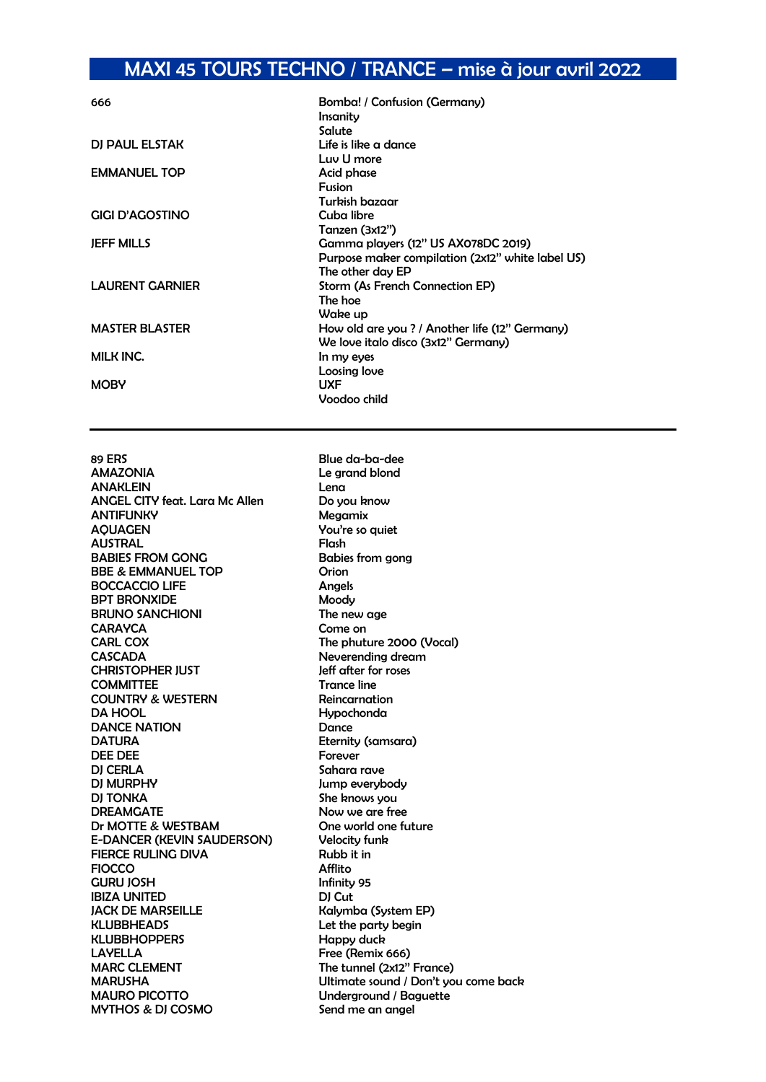## MAXI 45 TOURS TECHNO / TRANCE – mise à jour avril 2022

| 666                    | Bomba! / Confusion (Germany)                     |
|------------------------|--------------------------------------------------|
|                        | Insanity                                         |
|                        | Salute                                           |
| DJ PAUL ELSTAK         | Life is like a dance                             |
|                        | Luv U more                                       |
| <b>EMMANUEL TOP</b>    | Acid phase                                       |
|                        | <b>Fusion</b>                                    |
|                        | Turkish bazaar                                   |
| <b>GIGI D'AGOSTINO</b> | Cuba libre                                       |
|                        | Tanzen (3x12")                                   |
| <b>JEFF MILLS</b>      | Gamma players (12" US AX078DC 2019)              |
|                        | Purpose maker compilation (2x12" white label US) |
|                        | The other day EP                                 |
| <b>LAURENT GARNIER</b> | Storm (As French Connection EP)                  |
|                        | The hoe                                          |
|                        | Wake up                                          |
| <b>MASTER BLASTER</b>  | How old are you ? / Another life (12" Germany)   |
|                        | We love italo disco (3x12" Germany)              |
| <b>MILK INC.</b>       | In my eyes                                       |
|                        | Loosing love                                     |
| <b>MOBY</b>            | <b>UXF</b>                                       |
|                        | Voodoo child                                     |

89 ERS Blue da-ba-dee<br>AMAZONIA Blue da-ba-dee ANAKLEIN Lena ANGEL CITY feat. Lara Mc Allen Do you know ANTIFUNKY Megamix AQUAGEN You're so quiet AUSTRAL Flash BABIES FROM GONG Babies from gong BBE & EMMANUEL TOP Orion BOCCACCIO LIFE Angels<br>BPT BRONXIDE Moodu **BPT BRONXIDE** BRUNO SANCHIONI The new age CARAYCA Come on CARL COX Come on CARL COX CASCADA Neverending dream CHRISTOPHER JUST Jeff after for roses COMMITTEE Trance line COUNTRY & WESTERN Reincarnation DA HOOL Hypochonda DANCE NATION Dance DATURA **Eternity** (samsara) DEE DEE Forever Forever Forever and the School of the Forever of the School of the School of the School of the School of the School of the School of the School of the School of the School of the School of the School of the DJ MURPHY Jump everybody DJ TONKA<br>DREAMGATE She knows you<br>Now we are free Dr MOTTE & WESTBAM One world one future E-DANCER (KEVIN SAUDERSON) Velocity funk FIERCE RULING DIVA Rubb it in FIOCCO Afflito GURU JOSH Infinity 95 IBIZA UNITED DJ Cut JACK DE MARSEILLE Kalymba (System EP) KLUBBHEADS Let the party begin KLUBBHOPPERS Happy duck LAYELLA Free (Remix 666) MARC CLEMENT The tunnel (2x12" France)<br>MARUSHA Ultimate sound / Don't vo MAURO PICOTTO Underground / Baguette MYTHOS & DJ COSMO Send me an angel

Le grand blond The phuture 2000 (Vocal) Sahara rave Now we are free Ultimate sound / Don't you come back